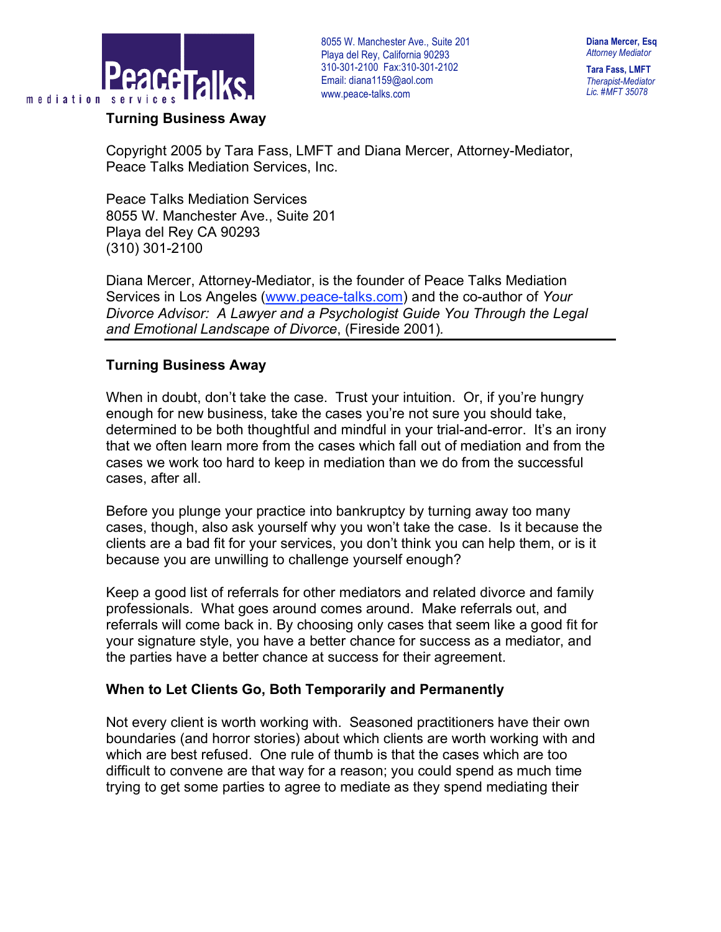

## **Turning Business Away**

8055 W. Manchester Ave., Suite 201 . Playa del Rey, California 90293 310-301-2100 Fax:310-301-2102 Email: diana1159@aol.com www.peace-talks.com

**Diana Mercer, Esq** *Attorney Mediator*

**Tara Fass, LMFT** *Therapist-Mediator Lic. #MFT 35078*

Copyright 2005 by Tara Fass, LMFT and Diana Mercer, Attorney-Mediator, Peace Talks Mediation Services, Inc.

Peace Talks Mediation Services 8055 W. Manchester Ave., Suite 201 Playa del Rey CA 90293 (310) 301-2100

Diana Mercer, Attorney-Mediator, is the founder of Peace Talks Mediation Services in Los Angeles (www.peace-talks.com) and the co-author of *Your Divorce Advisor: A Lawyer and a Psychologist Guide You Through the Legal and Emotional Landscape of Divorce*, (Fireside 2001)*.*

## **Turning Business Away**

When in doubt, don't take the case. Trust your intuition. Or, if you're hungry enough for new business, take the cases you're not sure you should take, determined to be both thoughtful and mindful in your trial-and-error. It's an irony that we often learn more from the cases which fall out of mediation and from the cases we work too hard to keep in mediation than we do from the successful cases, after all.

Before you plunge your practice into bankruptcy by turning away too many cases, though, also ask yourself why you won't take the case. Is it because the clients are a bad fit for your services, you don't think you can help them, or is it because you are unwilling to challenge yourself enough?

Keep a good list of referrals for other mediators and related divorce and family professionals. What goes around comes around. Make referrals out, and referrals will come back in. By choosing only cases that seem like a good fit for your signature style, you have a better chance for success as a mediator, and the parties have a better chance at success for their agreement.

## **When to Let Clients Go, Both Temporarily and Permanently**

Not every client is worth working with. Seasoned practitioners have their own boundaries (and horror stories) about which clients are worth working with and which are best refused. One rule of thumb is that the cases which are too difficult to convene are that way for a reason; you could spend as much time trying to get some parties to agree to mediate as they spend mediating their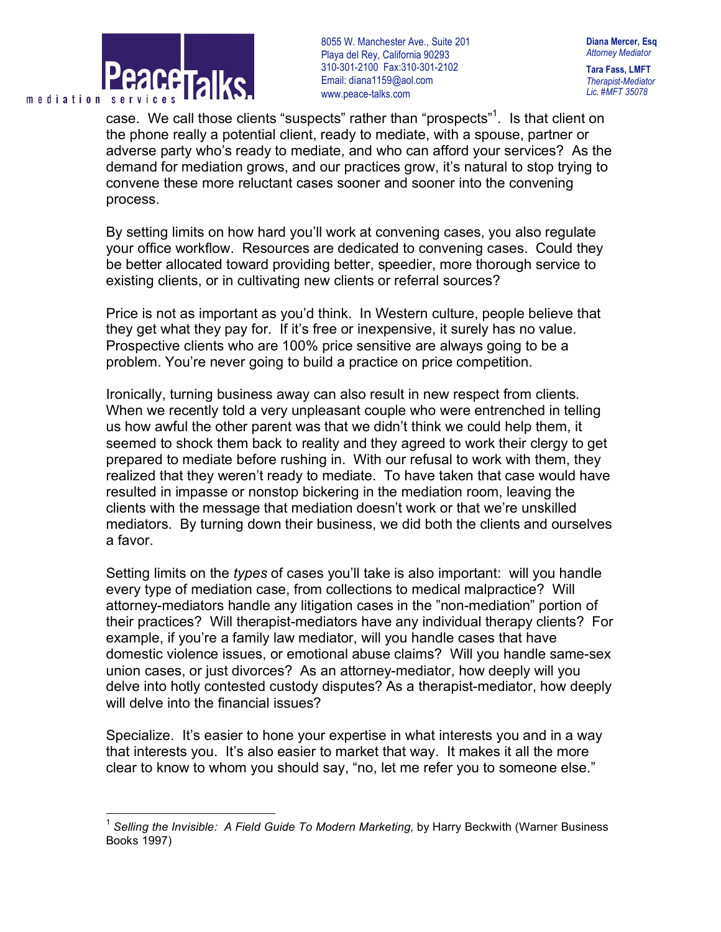

8055 W. Manchester Ave., Suite 201 . Playa del Rey, California 90293 310-301-2100 Fax:310-301-2102 Email: diana1159@aol.com www.peace-talks.com

**Diana Mercer, Esq** *Attorney Mediator*

**Tara Fass, LMFT** *Therapist-Mediator Lic. #MFT 35078*

case. We call those clients "suspects" rather than "prospects" 1 *.* Is that client on the phone really a potential client, ready to mediate, with a spouse, partner or adverse party who's ready to mediate, and who can afford your services? As the demand for mediation grows, and our practices grow, it's natural to stop trying to convene these more reluctant cases sooner and sooner into the convening process.

By setting limits on how hard you'll work at convening cases, you also regulate your office workflow. Resources are dedicated to convening cases. Could they be better allocated toward providing better, speedier, more thorough service to existing clients, or in cultivating new clients or referral sources?

Price is not as important as you'd think. In Western culture, people believe that they get what they pay for. If it's free or inexpensive, it surely has no value. Prospective clients who are 100% price sensitive are always going to be a problem. You're never going to build a practice on price competition.

Ironically, turning business away can also result in new respect from clients. When we recently told a very unpleasant couple who were entrenched in telling us how awful the other parent was that we didn't think we could help them, it seemed to shock them back to reality and they agreed to work their clergy to get prepared to mediate before rushing in. With our refusal to work with them, they realized that they weren't ready to mediate. To have taken that case would have resulted in impasse or nonstop bickering in the mediation room, leaving the clients with the message that mediation doesn't work or that we're unskilled mediators. By turning down their business, we did both the clients and ourselves a favor.

Setting limits on the *types* of cases you'll take is also important: will you handle every type of mediation case, from collections to medical malpractice? Will attorney-mediators handle any litigation cases in the "non-mediation" portion of their practices? Will therapist-mediators have any individual therapy clients? For example, if you're a family law mediator, will you handle cases that have domestic violence issues, or emotional abuse claims? Will you handle same-sex union cases, or just divorces? As an attorney-mediator, how deeply will you delve into hotly contested custody disputes? As a therapist-mediator, how deeply will delve into the financial issues?

Specialize. It's easier to hone your expertise in what interests you and in a way that interests you. It's also easier to market that way. It makes it all the more clear to know to whom you should say, "no, let me refer you to someone else."

 <sup>1</sup> *Selling the Invisible: <sup>A</sup> Field Guide To Modern Marketing,* by Harry Beckwith (Warner Business Books 1997)